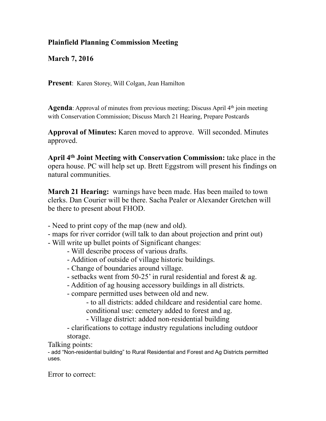## **Plainfield Planning Commission Meeting**

**March 7, 2016** 

**Present**: Karen Storey, Will Colgan, Jean Hamilton

**Agenda**: Approval of minutes from previous meeting; Discuss April 4<sup>th</sup> join meeting with Conservation Commission; Discuss March 21 Hearing, Prepare Postcards

**Approval of Minutes:** Karen moved to approve. Will seconded. Minutes approved.

**April 4th Joint Meeting with Conservation Commission:** take place in the opera house. PC will help set up. Brett Eggstrom will present his findings on natural communities.

**March 21 Hearing:** warnings have been made. Has been mailed to town clerks. Dan Courier will be there. Sacha Pealer or Alexander Gretchen will be there to present about FHOD.

- Need to print copy of the map (new and old).
- maps for river corridor (will talk to dan about projection and print out)
- Will write up bullet points of Significant changes:
	- Will describe process of various drafts.
	- Addition of outside of village historic buildings.
	- Change of boundaries around village.
	- setbacks went from 50-25' in rural residential and forest & ag.
	- Addition of ag housing accessory buildings in all districts.
	- compare permitted uses between old and new.
		- to all districts: added childcare and residential care home. conditional use: cemetery added to forest and ag.
		- Village district: added non-residential building
	- clarifications to cottage industry regulations including outdoor storage.

Talking points:

- add "Non-residential building" to Rural Residential and Forest and Ag Districts permitted uses.

Error to correct: